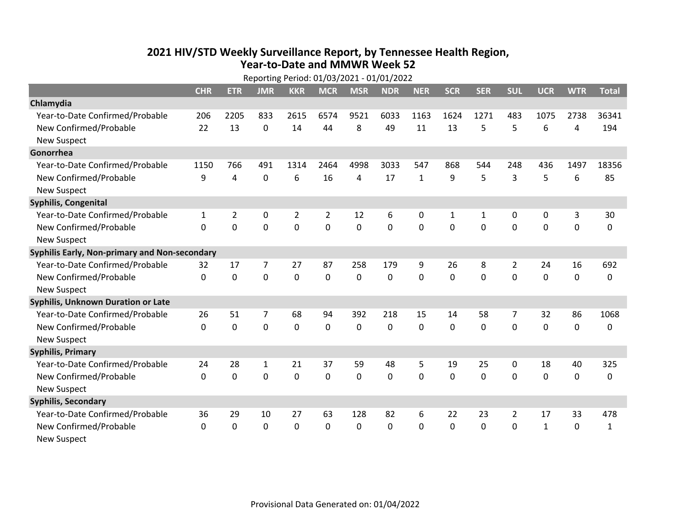## **2021 HIV /STD Weekly Surveillance Report, by Tennessee Health Region, Year‐to‐Date and MMWR Week 52** Reporting Period: 01/03/2021 ‐ 01/01/2022

| Reporting Period: 01/03/2021 - 01/01/2022     |            |                |                |                |                |             |            |              |            |             |                |              |             |              |
|-----------------------------------------------|------------|----------------|----------------|----------------|----------------|-------------|------------|--------------|------------|-------------|----------------|--------------|-------------|--------------|
|                                               | <b>CHR</b> | <b>ETR</b>     | <b>JMR</b>     | <b>KKR</b>     | <b>MCR</b>     | <b>MSR</b>  | <b>NDR</b> | <b>NER</b>   | <b>SCR</b> | <b>SER</b>  | <b>SUL</b>     | <b>UCR</b>   | <b>WTR</b>  | <b>Total</b> |
| Chlamydia                                     |            |                |                |                |                |             |            |              |            |             |                |              |             |              |
| Year-to-Date Confirmed/Probable               | 206        | 2205           | 833            | 2615           | 6574           | 9521        | 6033       | 1163         | 1624       | 1271        | 483            | 1075         | 2738        | 36341        |
| New Confirmed/Probable                        | 22         | 13             | $\mathbf 0$    | 14             | 44             | 8           | 49         | 11           | 13         | 5           | 5              | 6            | 4           | 194          |
| <b>New Suspect</b>                            |            |                |                |                |                |             |            |              |            |             |                |              |             |              |
| Gonorrhea                                     |            |                |                |                |                |             |            |              |            |             |                |              |             |              |
| Year-to-Date Confirmed/Probable               | 1150       | 766            | 491            | 1314           | 2464           | 4998        | 3033       | 547          | 868        | 544         | 248            | 436          | 1497        | 18356        |
| New Confirmed/Probable                        | 9          | 4              | $\mathbf 0$    | 6              | 16             | 4           | 17         | $\mathbf{1}$ | 9          | 5           | 3              | 5            | 6           | 85           |
| <b>New Suspect</b>                            |            |                |                |                |                |             |            |              |            |             |                |              |             |              |
| Syphilis, Congenital                          |            |                |                |                |                |             |            |              |            |             |                |              |             |              |
| Year-to-Date Confirmed/Probable               | 1          | $\overline{2}$ | 0              | $\overline{2}$ | $\overline{2}$ | 12          | 6          | 0            | 1          | 1           | 0              | 0            | 3           | 30           |
| New Confirmed/Probable                        | $\Omega$   | 0              | $\mathbf 0$    | $\mathbf 0$    | 0              | $\mathbf 0$ | 0          | 0            | 0          | $\mathbf 0$ | $\mathbf 0$    | $\mathbf 0$  | $\mathbf 0$ | 0            |
| <b>New Suspect</b>                            |            |                |                |                |                |             |            |              |            |             |                |              |             |              |
| Syphilis Early, Non-primary and Non-secondary |            |                |                |                |                |             |            |              |            |             |                |              |             |              |
| Year-to-Date Confirmed/Probable               | 32         | 17             | $\overline{7}$ | 27             | 87             | 258         | 179        | 9            | 26         | 8           | 2              | 24           | 16          | 692          |
| New Confirmed/Probable                        | $\Omega$   | 0              | $\mathbf 0$    | 0              | $\Omega$       | 0           | 0          | $\Omega$     | $\Omega$   | $\Omega$    | $\Omega$       | 0            | $\mathbf 0$ | 0            |
| <b>New Suspect</b>                            |            |                |                |                |                |             |            |              |            |             |                |              |             |              |
| <b>Syphilis, Unknown Duration or Late</b>     |            |                |                |                |                |             |            |              |            |             |                |              |             |              |
| Year-to-Date Confirmed/Probable               | 26         | 51             | $\overline{7}$ | 68             | 94             | 392         | 218        | 15           | 14         | 58          | $\overline{7}$ | 32           | 86          | 1068         |
| New Confirmed/Probable                        | $\Omega$   | 0              | $\mathbf 0$    | 0              | 0              | 0           | 0          | $\Omega$     | $\Omega$   | 0           | $\mathbf 0$    | 0            | $\mathbf 0$ | 0            |
| <b>New Suspect</b>                            |            |                |                |                |                |             |            |              |            |             |                |              |             |              |
| <b>Syphilis, Primary</b>                      |            |                |                |                |                |             |            |              |            |             |                |              |             |              |
| Year-to-Date Confirmed/Probable               | 24         | 28             | 1              | 21             | 37             | 59          | 48         | 5            | 19         | 25          | 0              | 18           | 40          | 325          |
| New Confirmed/Probable                        | 0          | 0              | $\mathbf 0$    | $\mathbf 0$    | 0              | 0           | 0          | $\Omega$     | 0          | 0           | $\mathbf 0$    | 0            | $\mathbf 0$ | 0            |
| <b>New Suspect</b>                            |            |                |                |                |                |             |            |              |            |             |                |              |             |              |
| <b>Syphilis, Secondary</b>                    |            |                |                |                |                |             |            |              |            |             |                |              |             |              |
| Year-to-Date Confirmed/Probable               | 36         | 29             | 10             | 27             | 63             | 128         | 82         | 6            | 22         | 23          | $\overline{2}$ | 17           | 33          | 478          |
| New Confirmed/Probable                        | $\Omega$   | 0              | $\mathbf 0$    | 0              | 0              | 0           | $\Omega$   | $\Omega$     | $\Omega$   | 0           | $\mathbf 0$    | $\mathbf{1}$ | $\mathbf 0$ | $\mathbf{1}$ |
| New Suspect                                   |            |                |                |                |                |             |            |              |            |             |                |              |             |              |